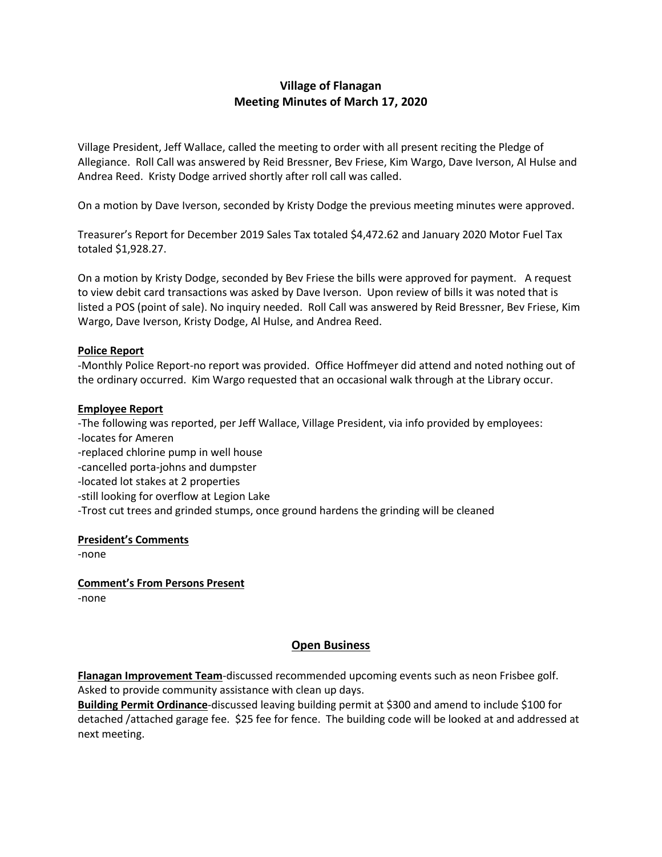# **Village of Flanagan Meeting Minutes of March 17, 2020**

Village President, Jeff Wallace, called the meeting to order with all present reciting the Pledge of Allegiance. Roll Call was answered by Reid Bressner, Bev Friese, Kim Wargo, Dave Iverson, Al Hulse and Andrea Reed. Kristy Dodge arrived shortly after roll call was called.

On a motion by Dave Iverson, seconded by Kristy Dodge the previous meeting minutes were approved.

Treasurer's Report for December 2019 Sales Tax totaled \$4,472.62 and January 2020 Motor Fuel Tax totaled \$1,928.27.

On a motion by Kristy Dodge, seconded by Bev Friese the bills were approved for payment. A request to view debit card transactions was asked by Dave Iverson. Upon review of bills it was noted that is listed a POS (point of sale). No inquiry needed. Roll Call was answered by Reid Bressner, Bev Friese, Kim Wargo, Dave Iverson, Kristy Dodge, Al Hulse, and Andrea Reed.

#### **Police Report**

-Monthly Police Report-no report was provided. Office Hoffmeyer did attend and noted nothing out of the ordinary occurred. Kim Wargo requested that an occasional walk through at the Library occur.

#### **Employee Report**

-The following was reported, per Jeff Wallace, Village President, via info provided by employees: -locates for Ameren -replaced chlorine pump in well house -cancelled porta-johns and dumpster -located lot stakes at 2 properties -still looking for overflow at Legion Lake -Trost cut trees and grinded stumps, once ground hardens the grinding will be cleaned

#### **President's Comments**

-none

**Comment's From Persons Present** -none

## **Open Business**

**Flanagan Improvement Team**-discussed recommended upcoming events such as neon Frisbee golf. Asked to provide community assistance with clean up days.

**Building Permit Ordinance**-discussed leaving building permit at \$300 and amend to include \$100 for detached /attached garage fee. \$25 fee for fence. The building code will be looked at and addressed at next meeting.